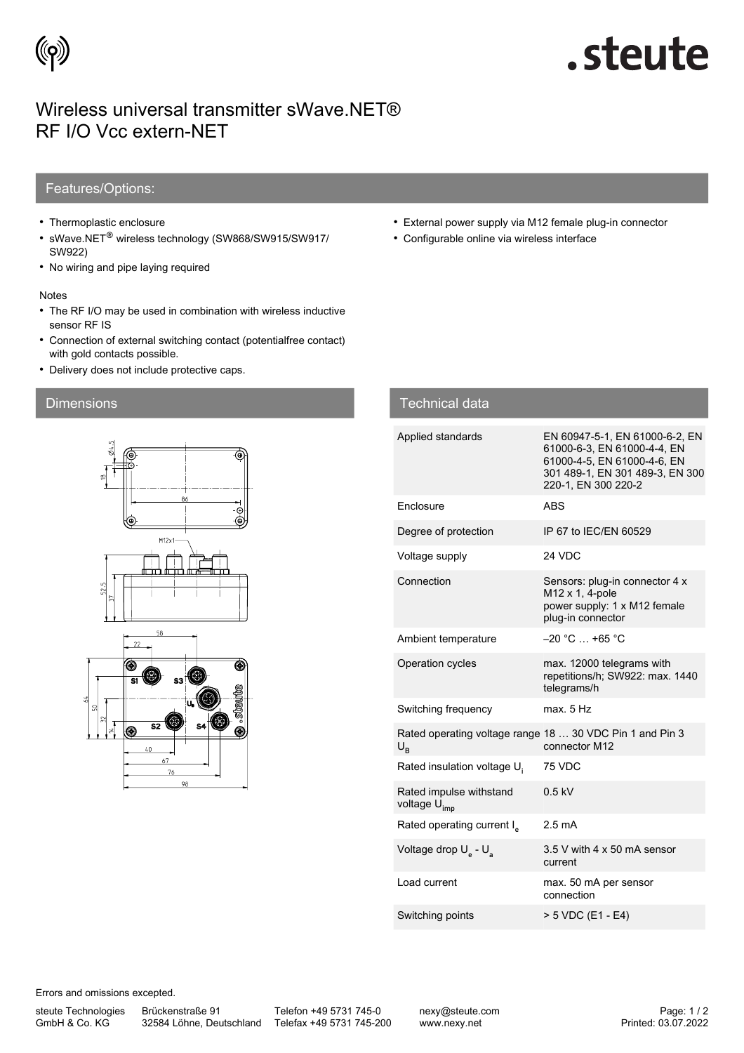

# steute.

# Wireless universal transmitter sWave.NET® RF I/O Vcc extern-NET

## Features/Options:

- Thermoplastic enclosure
- sWave.NET® wireless technology (SW868/SW915/SW917/ SW922)
- No wiring and pipe laying required

### Notes

- The RF I/O may be used in combination with wireless inductive sensor RF IS
- Connection of external switching contact (potentialfree contact) with gold contacts possible.
- Delivery does not include protective caps.



- External power supply via M12 female plug-in connector
- Configurable online via wireless interface

# Dimensions Technical data and the contract of the contract of the Technical data

| Applied standards                                                   | EN 60947-5-1, EN 61000-6-2, EN<br>61000-6-3, EN 61000-4-4, EN<br>61000-4-5, EN 61000-4-6, EN<br>301 489-1, EN 301 489-3, EN 300<br>220-1, EN 300 220-2 |
|---------------------------------------------------------------------|--------------------------------------------------------------------------------------------------------------------------------------------------------|
| Enclosure                                                           | <b>ABS</b>                                                                                                                                             |
| Degree of protection                                                | IP 67 to IEC/EN 60529                                                                                                                                  |
| Voltage supply                                                      | 24 VDC                                                                                                                                                 |
| Connection                                                          | Sensors: plug-in connector 4 x<br>M12 x 1, 4-pole<br>power supply: 1 x M12 female<br>plug-in connector                                                 |
| Ambient temperature                                                 | $-20 °C  +65 °C$                                                                                                                                       |
| Operation cycles                                                    | max. 12000 telegrams with<br>repetitions/h; SW922: max. 1440<br>telegrams/h                                                                            |
| Switching frequency                                                 | max. 5 Hz                                                                                                                                              |
| Rated operating voltage range 18  30 VDC Pin 1 and Pin 3<br>$U_{R}$ | connector M12                                                                                                                                          |
| Rated insulation voltage U.                                         | 75 VDC                                                                                                                                                 |
| Rated impulse withstand<br>voltage U <sub>imp</sub>                 | $0.5$ kV                                                                                                                                               |
| Rated operating current I <sub>s</sub>                              | $2.5 \text{ mA}$                                                                                                                                       |
| Voltage drop U <sub>2</sub> - U <sub>2</sub>                        | 3.5 V with 4 x 50 mA sensor<br>current                                                                                                                 |
| Load current                                                        | max. 50 mA per sensor<br>connection                                                                                                                    |
| Switching points                                                    | > 5 VDC (E1 - E4)                                                                                                                                      |

Errors and omissions excepted.

Brückenstraße 91

32584 Löhne, Deutschland Telefax +49 5731 745-200 Telefon +49 5731 745-0

nexy@steute.com